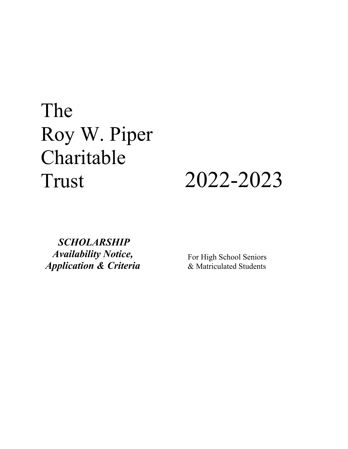# The Roy W. Piper Charitable Trust 2022-2023



*SCHOLARSHIP Availability Notice, Application & Criteria*

For High School Seniors & Matriculated Students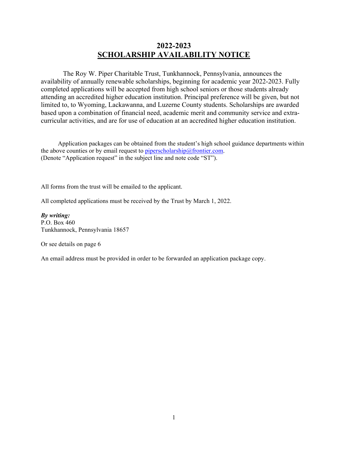# **2022-2023 SCHOLARSHIP AVAILABILITY NOTICE**

 The Roy W. Piper Charitable Trust, Tunkhannock, Pennsylvania, announces the availability of annually renewable scholarships, beginning for academic year 2022-2023. Fully completed applications will be accepted from high school seniors or those students already attending an accredited higher education institution. Principal preference will be given, but not limited to, to Wyoming, Lackawanna, and Luzerne County students. Scholarships are awarded based upon a combination of financial need, academic merit and community service and extracurricular activities, and are for use of education at an accredited higher education institution.

 Application packages can be obtained from the student's high school guidance departments within the above counties or by email request to [piperscholarship@frontier.com.](mailto:piperscholarship@frontier.com) (Denote "Application request" in the subject line and note code "ST").

All forms from the trust will be emailed to the applicant.

All completed applications must be received by the Trust by March 1, 2022.

*By writing:* P.O. Box 460 Tunkhannock, Pennsylvania 18657

Or see details on page 6

An email address must be provided in order to be forwarded an application package copy.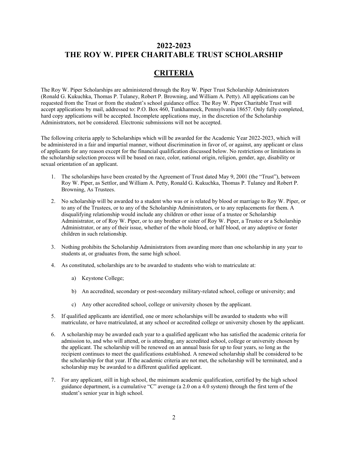## **CRITERIA**

The Roy W. Piper Scholarships are administered through the Roy W. Piper Trust Scholarship Administrators (Ronald G. Kukuchka, Thomas P. Tulaney, Robert P. Browning, and William A. Petty). All applications can be requested from the Trust or from the student's school guidance office. The Roy W. Piper Charitable Trust will accept applications by mail, addressed to: P.O. Box 460, Tunkhannock, Pennsylvania 18657. Only fully completed, hard copy applications will be accepted. Incomplete applications may, in the discretion of the Scholarship Administrators, not be considered. Electronic submissions will not be accepted.

The following criteria apply to Scholarships which will be awarded for the Academic Year 2022-2023, which will be administered in a fair and impartial manner, without discrimination in favor of, or against, any applicant or class of applicants for any reason except for the financial qualification discussed below. No restrictions or limitations in the scholarship selection process will be based on race, color, national origin, religion, gender, age, disability or sexual orientation of an applicant.

- 1. The scholarships have been created by the Agreement of Trust dated May 9, 2001 (the "Trust"), between Roy W. Piper, as Settlor, and William A. Petty, Ronald G. Kukuchka, Thomas P. Tulaney and Robert P. Browning, As Trustees.
- 2. No scholarship will be awarded to a student who was or is related by blood or marriage to Roy W. Piper, or to any of the Trustees, or to any of the Scholarship Administrators, or to any replacements for them. A disqualifying relationship would include any children or other issue of a trustee or Scholarship Administrator, or of Roy W. Piper, or to any brother or sister of Roy W. Piper, a Trustee or a Scholarship Administrator, or any of their issue, whether of the whole blood, or half blood, or any adoptive or foster children in such relationship.
- 3. Nothing prohibits the Scholarship Administrators from awarding more than one scholarship in any year to students at, or graduates from, the same high school.
- 4. As constituted, scholarships are to be awarded to students who wish to matriculate at:
	- a) Keystone College;
	- b) An accredited, secondary or post-secondary military-related school, college or university; and
	- c) Any other accredited school, college or university chosen by the applicant.
- 5. If qualified applicants are identified, one or more scholarships will be awarded to students who will matriculate, or have matriculated, at any school or accredited college or university chosen by the applicant.
- 6. A scholarship may be awarded each year to a qualified applicant who has satisfied the academic criteria for admission to, and who will attend, or is attending, any accredited school, college or university chosen by the applicant. The scholarship will be renewed on an annual basis for up to four years, so long as the recipient continues to meet the qualifications established. A renewed scholarship shall be considered to be the scholarship for that year. If the academic criteria are not met, the scholarship will be terminated, and a scholarship may be awarded to a different qualified applicant.
- 7. For any applicant, still in high school, the minimum academic qualification, certified by the high school guidance department, is a cumulative "C" average (a 2.0 on a 4.0 system) through the first term of the student's senior year in high school.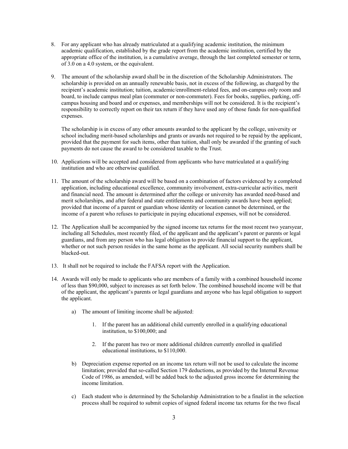- 8. For any applicant who has already matriculated at a qualifying academic institution, the minimum academic qualification, established by the grade report from the academic institution, certified by the appropriate office of the institution, is a cumulative average, through the last completed semester or term, of 3.0 on a 4.0 system, or the equivalent.
- 9. The amount of the scholarship award shall be in the discretion of the Scholarship Administrators. The scholarship is provided on an annually renewable basis, not in excess of the following, as charged by the recipient's academic institution; tuition, academic/enrollment-related fees, and on-campus only room and board, to include campus meal plan (commuter or non-commuter). Fees for books, supplies, parking, offcampus housing and board and or expenses, and memberships will not be considered. It is the recipient's responsibility to correctly report on their tax return if they have used any of those funds for non-qualified expenses.

The scholarship is in excess of any other amounts awarded to the applicant by the college, university or school including merit-based scholarships and grants or awards not required to be repaid by the applicant, provided that the payment for such items, other than tuition, shall only be awarded if the granting of such payments do not cause the award to be considered taxable to the Trust.

- 10. Applications will be accepted and considered from applicants who have matriculated at a qualifying institution and who are otherwise qualified.
- 11. The amount of the scholarship award will be based on a combination of factors evidenced by a completed application, including educational excellence, community involvement, extra-curricular activities, merit and financial need. The amount is determined after the college or university has awarded need-based and merit scholarships, and after federal and state entitlements and community awards have been applied; provided that income of a parent or guardian whose identity or location cannot be determined, or the income of a parent who refuses to participate in paying educational expenses, will not be considered.
- 12. The Application shall be accompanied by the signed income tax returns for the most recent two yearsyear, including all Schedules, most recently filed, of the applicant and the applicant's parent or parents or legal guardians, and from any person who has legal obligation to provide financial support to the applicant, whether or not such person resides in the same home as the applicant. All social security numbers shall be blacked-out.
- 13. It shall not be required to include the FAFSA report with the Application.
- 14. Awards will only be made to applicants who are members of a family with a combined household income of less than \$90,000, subject to increases as set forth below. The combined household income will be that of the applicant, the applicant's parents or legal guardians and anyone who has legal obligation to support the applicant.
	- a) The amount of limiting income shall be adjusted:
		- 1. If the parent has an additional child currently enrolled in a qualifying educational institution, to \$100,000; and
		- 2. If the parent has two or more additional children currently enrolled in qualified educational institutions, to \$110,000.
	- b) Depreciation expense reported on an income tax return will not be used to calculate the income limitation; provided that so-called Section 179 deductions, as provided by the Internal Revenue Code of 1986, as amended, will be added back to the adjusted gross income for determining the income limitation.
	- c) Each student who is determined by the Scholarship Administration to be a finalist in the selection process shall be required to submit copies of signed federal income tax returns for the two fiscal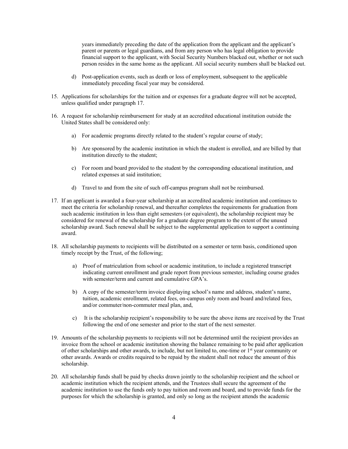years immediately preceding the date of the application from the applicant and the applicant's parent or parents or legal guardians, and from any person who has legal obligation to provide financial support to the applicant, with Social Security Numbers blacked out, whether or not such person resides in the same home as the applicant. All social security numbers shall be blacked out.

- d) Post-application events, such as death or loss of employment, subsequent to the applicable immediately preceding fiscal year may be considered.
- 15. Applications for scholarships for the tuition and or expenses for a graduate degree will not be accepted, unless qualified under paragraph 17.
- 16. A request for scholarship reimbursement for study at an accredited educational institution outside the United States shall be considered only:
	- a) For academic programs directly related to the student's regular course of study;
	- b) Are sponsored by the academic institution in which the student is enrolled, and are billed by that institution directly to the student;
	- c) For room and board provided to the student by the corresponding educational institution, and related expenses at said institution;
	- d) Travel to and from the site of such off-campus program shall not be reimbursed.
- 17. If an applicant is awarded a four-year scholarship at an accredited academic institution and continues to meet the criteria for scholarship renewal, and thereafter completes the requirements for graduation from such academic institution in less than eight semesters (or equivalent), the scholarship recipient may be considered for renewal of the scholarship for a graduate degree program to the extent of the unused scholarship award. Such renewal shall be subject to the supplemental application to support a continuing award.
- 18. All scholarship payments to recipients will be distributed on a semester or term basis, conditioned upon timely receipt by the Trust, of the following;
	- a) Proof of matriculation from school or academic institution, to include a registered transcript indicating current enrollment and grade report from previous semester, including course grades with semester/term and current and cumulative GPA's.
	- b) A copy of the semester/term invoice displaying school's name and address, student's name, tuition, academic enrollment, related fees, on-campus only room and board and/related fees, and/or commuter/non-commuter meal plan, and,
	- c) It is the scholarship recipient's responsibility to be sure the above items are received by the Trust following the end of one semester and prior to the start of the next semester.
- 19. Amounts of the scholarship payments to recipients will not be determined until the recipient provides an invoice from the school or academic institution showing the balance remaining to be paid after application of other scholarships and other awards, to include, but not limited to, one-time or 1<sup>st</sup> year community or other awards. Awards or credits required to be repaid by the student shall not reduce the amount of this scholarship.
- 20. All scholarship funds shall be paid by checks drawn jointly to the scholarship recipient and the school or academic institution which the recipient attends, and the Trustees shall secure the agreement of the academic institution to use the funds only to pay tuition and room and board, and to provide funds for the purposes for which the scholarship is granted, and only so long as the recipient attends the academic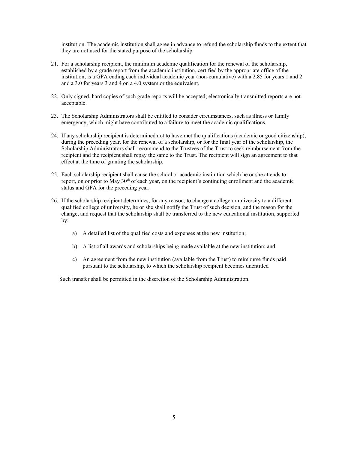institution. The academic institution shall agree in advance to refund the scholarship funds to the extent that they are not used for the stated purpose of the scholarship.

- 21. For a scholarship recipient, the minimum academic qualification for the renewal of the scholarship, established by a grade report from the academic institution, certified by the appropriate office of the institution, is a GPA ending each individual academic year (non-cumulative) with a 2.85 for years 1 and 2 and a 3.0 for years 3 and 4 on a 4.0 system or the equivalent.
- 22. Only signed, hard copies of such grade reports will be accepted; electronically transmitted reports are not acceptable.
- 23. The Scholarship Administrators shall be entitled to consider circumstances, such as illness or family emergency, which might have contributed to a failure to meet the academic qualifications.
- 24. If any scholarship recipient is determined not to have met the qualifications (academic or good citizenship), during the preceding year, for the renewal of a scholarship, or for the final year of the scholarship, the Scholarship Administrators shall recommend to the Trustees of the Trust to seek reimbursement from the recipient and the recipient shall repay the same to the Trust. The recipient will sign an agreement to that effect at the time of granting the scholarship.
- 25. Each scholarship recipient shall cause the school or academic institution which he or she attends to report, on or prior to May  $30<sup>th</sup>$  of each year, on the recipient's continuing enrollment and the academic status and GPA for the preceding year.
- 26. If the scholarship recipient determines, for any reason, to change a college or university to a different qualified college of university, he or she shall notify the Trust of such decision, and the reason for the change, and request that the scholarship shall be transferred to the new educational institution, supported by:
	- a) A detailed list of the qualified costs and expenses at the new institution;
	- b) A list of all awards and scholarships being made available at the new institution; and
	- c) An agreement from the new institution (available from the Trust) to reimburse funds paid pursuant to the scholarship, to which the scholarship recipient becomes unentitled

Such transfer shall be permitted in the discretion of the Scholarship Administration.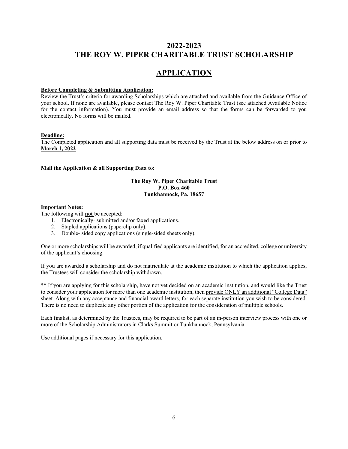## **APPLICATION**

#### **Before Completing & Submitting Application:**

Review the Trust's criteria for awarding Scholarships which are attached and available from the Guidance Office of your school. If none are available, please contact The Roy W. Piper Charitable Trust (see attached Available Notice for the contact information). You must provide an email address so that the forms can be forwarded to you electronically. No forms will be mailed.

#### **Deadline:**

The Completed application and all supporting data must be received by the Trust at the below address on or prior to **March 1, 2022**

#### **Mail the Application & all Supporting Data to:**

#### **The Roy W. Piper Charitable Trust P.O. Box 460 Tunkhannock, Pa. 18657**

#### **Important Notes:**

The following will **not** be accepted:

- 1. Electronically- submitted and/or faxed applications.
- 2. Stapled applications (paperclip only).
- 3. Double- sided copy applications (single-sided sheets only).

One or more scholarships will be awarded, if qualified applicants are identified, for an accredited, college or university of the applicant's choosing.

If you are awarded a scholarship and do not matriculate at the academic institution to which the application applies, the Trustees will consider the scholarship withdrawn.

\*\* If you are applying for this scholarship, have not yet decided on an academic institution, and would like the Trust to consider your application for more than one academic institution, then provide ONLY an additional "College Data" sheet. Along with any acceptance and financial award letters, for each separate institution you wish to be considered. There is no need to duplicate any other portion of the application for the consideration of multiple schools.

Each finalist, as determined by the Trustees, may be required to be part of an in-person interview process with one or more of the Scholarship Administrators in Clarks Summit or Tunkhannock, Pennsylvania.

Use additional pages if necessary for this application.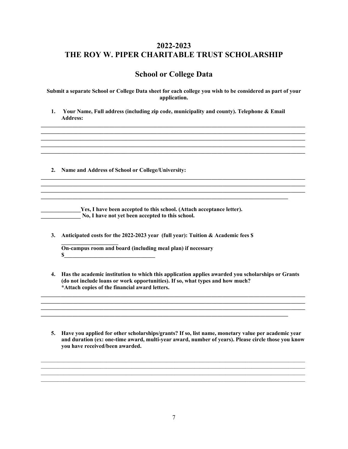## **School or College Data**

**Submit a separate School or College Data sheet for each college you wish to be considered as part of your application.**

**1. Your Name, Full address (including zip code, municipality and county). Telephone & Email Address:**

**\_\_\_\_\_\_\_\_\_\_\_\_\_\_\_\_\_\_\_\_\_\_\_\_\_\_\_\_\_\_\_\_\_\_\_\_\_\_\_\_\_\_\_\_\_\_\_\_\_\_\_\_\_\_\_\_\_\_\_\_\_\_\_\_\_\_\_\_\_\_\_\_\_\_\_\_\_\_\_\_\_\_\_\_\_\_\_\_\_\_\_\_\_ \_\_\_\_\_\_\_\_\_\_\_\_\_\_\_\_\_\_\_\_\_\_\_\_\_\_\_\_\_\_\_\_\_\_\_\_\_\_\_\_\_\_\_\_\_\_\_\_\_\_\_\_\_\_\_\_\_\_\_\_\_\_\_\_\_\_\_\_\_\_\_\_\_\_\_\_\_\_\_\_\_\_\_\_\_\_\_\_\_\_\_\_\_ \_\_\_\_\_\_\_\_\_\_\_\_\_\_\_\_\_\_\_\_\_\_\_\_\_\_\_\_\_\_\_\_\_\_\_\_\_\_\_\_\_\_\_\_\_\_\_\_\_\_\_\_\_\_\_\_\_\_\_\_\_\_\_\_\_\_\_\_\_\_\_\_\_\_\_\_\_\_\_\_\_\_\_\_\_\_\_\_\_\_\_\_\_ \_\_\_\_\_\_\_\_\_\_\_\_\_\_\_\_\_\_\_\_\_\_\_\_\_\_\_\_\_\_\_\_\_\_\_\_\_\_\_\_\_\_\_\_\_\_\_\_\_\_\_\_\_\_\_\_\_\_\_\_\_\_\_\_\_\_\_\_\_\_\_\_\_\_\_\_\_\_\_\_\_\_\_\_\_\_\_\_\_\_\_\_\_ \_\_\_\_\_\_\_\_\_\_\_\_\_\_\_\_\_\_\_\_\_\_\_\_\_\_\_\_\_\_\_\_\_\_\_\_\_\_\_\_\_\_\_\_\_\_\_\_\_\_\_\_\_\_\_\_\_\_\_\_\_\_\_\_\_\_\_\_\_\_\_\_\_\_\_\_\_\_\_\_\_\_\_\_\_\_\_\_\_\_\_\_\_**

**\_\_\_\_\_\_\_\_\_\_\_\_\_\_\_\_\_\_\_\_\_\_\_\_\_\_\_\_\_\_\_\_\_\_\_\_\_\_\_\_\_\_\_\_\_\_\_\_\_\_\_\_\_\_\_\_\_\_\_\_\_\_\_\_\_\_\_\_\_\_\_\_\_\_\_\_\_\_\_\_\_\_\_\_\_\_\_\_\_\_\_\_\_**

**\_\_\_\_\_\_\_\_\_\_\_\_\_\_\_\_\_\_\_\_\_\_\_\_\_\_\_\_\_\_\_\_\_\_\_\_\_\_\_\_\_\_\_\_\_\_\_\_\_\_\_\_\_\_\_\_\_\_\_\_\_\_\_\_\_\_\_\_\_\_\_\_\_\_\_\_\_\_\_\_\_\_\_\_\_\_\_\_\_\_\_\_\_**

**2. Name and Address of School or College/University:**

**The EXEC EXECUTE:** Yes, I have been accepted to this school. (Attach acceptance letter). **\_\_\_\_\_\_\_\_\_\_\_\_\_\_ No, I have not yet been accepted to this school.**

**3. Anticipated costs for the 2022-2023 year (full year): Tuition & Academic fees \$** 

**\_\_\_\_\_\_\_\_\_\_\_\_\_\_\_\_\_\_\_\_\_\_\_\_\_\_\_\_\_\_\_\_\_\_\_\_\_\_\_\_\_\_\_\_\_\_\_\_\_\_\_\_\_\_\_\_\_\_\_\_\_\_\_\_\_\_\_\_\_\_\_\_\_\_\_\_\_\_\_\_\_\_\_\_\_\_\_\_\_\_\_\_\_**

**\_\_\_\_\_\_\_\_\_\_\_\_\_\_\_\_\_\_\_\_ On-campus room and board (including meal plan) if necessary \$\_\_\_\_\_\_\_\_\_\_\_\_\_\_\_\_\_\_\_\_\_\_\_\_\_\_\_\_\_\_\_\_**

**4. Has the academic institution to which this application applies awarded you scholarships or Grants (do not include loans or work opportunities). If so, what types and how much? \*Attach copies of the financial award letters.**

**\_\_\_\_\_\_\_\_\_\_\_\_\_\_\_\_\_\_\_\_\_\_\_\_\_\_\_\_\_\_\_\_\_\_\_\_\_\_\_\_\_\_\_\_\_\_\_\_\_\_\_\_\_\_\_\_\_\_\_\_\_\_\_\_\_\_\_\_\_\_\_\_\_\_\_\_\_\_\_\_\_\_\_\_\_\_\_\_\_\_\_\_\_ \_\_\_\_\_\_\_\_\_\_\_\_\_\_\_\_\_\_\_\_\_\_\_\_\_\_\_\_\_\_\_\_\_\_\_\_\_\_\_\_\_\_\_\_\_\_\_\_\_\_\_\_\_\_\_\_\_\_\_\_\_\_\_\_\_\_\_\_\_\_\_\_\_\_\_\_\_\_\_\_\_\_\_\_\_\_\_\_\_\_\_\_\_**

**\_\_\_\_\_\_\_\_\_\_\_\_\_\_\_\_\_\_\_\_\_\_\_\_\_\_\_\_\_\_\_\_\_\_\_\_\_\_\_\_\_\_\_\_\_\_\_\_\_\_\_\_\_\_\_\_\_\_\_\_\_\_\_\_\_\_\_\_\_\_\_\_\_\_\_\_\_\_\_\_\_\_\_\_\_\_\_**

**5. Have you applied for other scholarships/grants? If so, list name, monetary value per academic year and duration (ex: one-time award, multi-year award, number of years). Please circle those you know you have received/been awarded.**

 $\mathcal{L}_\mathcal{L} = \{ \mathcal{L}_\mathcal{L} = \{ \mathcal{L}_\mathcal{L} = \{ \mathcal{L}_\mathcal{L} = \{ \mathcal{L}_\mathcal{L} = \{ \mathcal{L}_\mathcal{L} = \{ \mathcal{L}_\mathcal{L} = \{ \mathcal{L}_\mathcal{L} = \{ \mathcal{L}_\mathcal{L} = \{ \mathcal{L}_\mathcal{L} = \{ \mathcal{L}_\mathcal{L} = \{ \mathcal{L}_\mathcal{L} = \{ \mathcal{L}_\mathcal{L} = \{ \mathcal{L}_\mathcal{L} = \{ \mathcal{L}_\mathcal{$ 

 $\mathcal{L}_\mathcal{L} = \{ \mathcal{L}_\mathcal{L} = \{ \mathcal{L}_\mathcal{L} = \{ \mathcal{L}_\mathcal{L} = \{ \mathcal{L}_\mathcal{L} = \{ \mathcal{L}_\mathcal{L} = \{ \mathcal{L}_\mathcal{L} = \{ \mathcal{L}_\mathcal{L} = \{ \mathcal{L}_\mathcal{L} = \{ \mathcal{L}_\mathcal{L} = \{ \mathcal{L}_\mathcal{L} = \{ \mathcal{L}_\mathcal{L} = \{ \mathcal{L}_\mathcal{L} = \{ \mathcal{L}_\mathcal{L} = \{ \mathcal{L}_\mathcal{$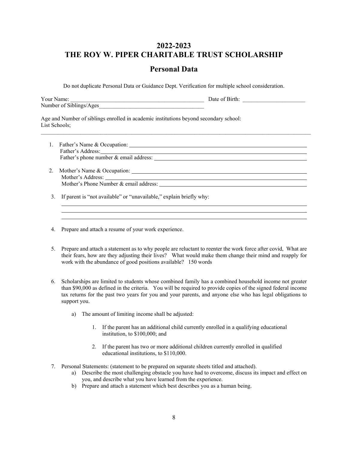### **Personal Data**

Do not duplicate Personal Data or Guidance Dept. Verification for multiple school consideration.

|                                                                                                        | Your Name:<br><u> 1989 - Johann John Harry Harry Harry Harry Harry Harry Harry Harry Harry Harry Harry Harry Harry Harry Harry</u><br>Number of Siblings/Ages                                                                 |  | Date of Birth: |  |  |
|--------------------------------------------------------------------------------------------------------|-------------------------------------------------------------------------------------------------------------------------------------------------------------------------------------------------------------------------------|--|----------------|--|--|
| Age and Number of siblings enrolled in academic institutions beyond secondary school:<br>List Schools; |                                                                                                                                                                                                                               |  |                |  |  |
|                                                                                                        | Father's Address: Note and the set of the set of the set of the set of the set of the set of the set of the set of the set of the set of the set of the set of the set of the set of the set of the set of the set of the set |  |                |  |  |
|                                                                                                        | Mother's Phone Number & email address: $\qquad \qquad$                                                                                                                                                                        |  |                |  |  |
| 3.                                                                                                     | If parent is "not available" or "unavailable," explain briefly why:                                                                                                                                                           |  |                |  |  |

- 4. Prepare and attach a resume of your work experience.
- 5. Prepare and attach a statement as to why people are reluctant to reenter the work force after covid, What are their fears, how are they adjusting their lives? What would make them change their mind and reapply for work with the abundance of good positions available? 150 words
- 6. Scholarships are limited to students whose combined family has a combined household income not greater than \$90,000 as defined in the criteria. You will be required to provide copies of the signed federal income tax returns for the past two years for you and your parents, and anyone else who has legal obligations to support you.
	- a) The amount of limiting income shall be adjusted:
		- 1. If the parent has an additional child currently enrolled in a qualifying educational institution, to \$100,000; and
		- 2. If the parent has two or more additional children currently enrolled in qualified educational institutions, to \$110,000.
- 7. Personal Statements: (statement to be prepared on separate sheets titled and attached).
	- a) Describe the most challenging obstacle you have had to overcome, discuss its impact and effect on you, and describe what you have learned from the experience.
	- b) Prepare and attach a statement which best describes you as a human being.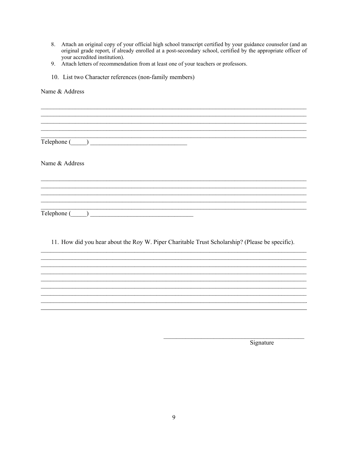- 8. Attach an original copy of your official high school transcript certified by your guidance counselor (and an original grade report, if already enrolled at a post-secondary school, certified by the appropriate officer of your accredited institution).
- 9. Attach letters of recommendation from at least one of your teachers or professors.
- 10. List two Character references (non-family members)

Name & Address <u> 1989 - Johann John Stone, mars and de ferrer en deutscher Stone († 1989)</u> Name & Address  $\begin{tabular}{c} \textbf{Telephone} \hspace{1.5cm} \textcolor{red}{\textbf{L2}} & \textcolor{red}{\textbf{L2}} \\ \end{tabular}$ 

11. How did you hear about the Roy W. Piper Charitable Trust Scholarship? (Please be specific).

Signature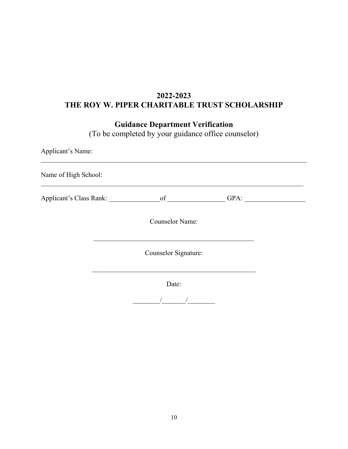# **Guidance Department Verification**

(To be completed by your guidance office counselor)

| Applicant's Name:       |                        |      |  |  |  |  |
|-------------------------|------------------------|------|--|--|--|--|
| Name of High School:    |                        |      |  |  |  |  |
| Applicant's Class Rank: | $\circ$ f              | GPA: |  |  |  |  |
|                         | <b>Counselor Name:</b> |      |  |  |  |  |
|                         | Counselor Signature:   |      |  |  |  |  |
|                         | Date:                  |      |  |  |  |  |
|                         |                        |      |  |  |  |  |